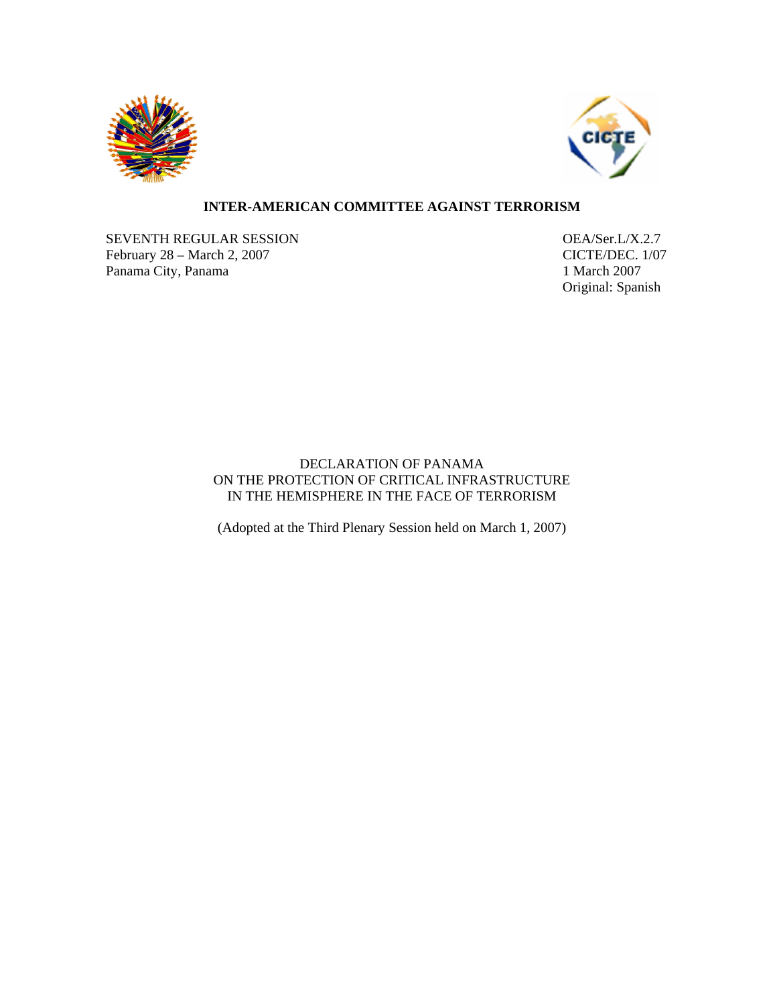



## **INTER-AMERICAN COMMITTEE AGAINST TERRORISM**

SEVENTH REGULAR SESSION OEA/Ser.L/X.2.7 February 28 – March 2, 2007 CICTE/DEC. 1/07 Panama City, Panama 1 March 2007

Original: Spanish

## DECLARATION OF PANAMA ON THE PROTECTION OF CRITICAL INFRASTRUCTURE IN THE HEMISPHERE IN THE FACE OF TERRORISM

(Adopted at the Third Plenary Session held on March 1, 2007)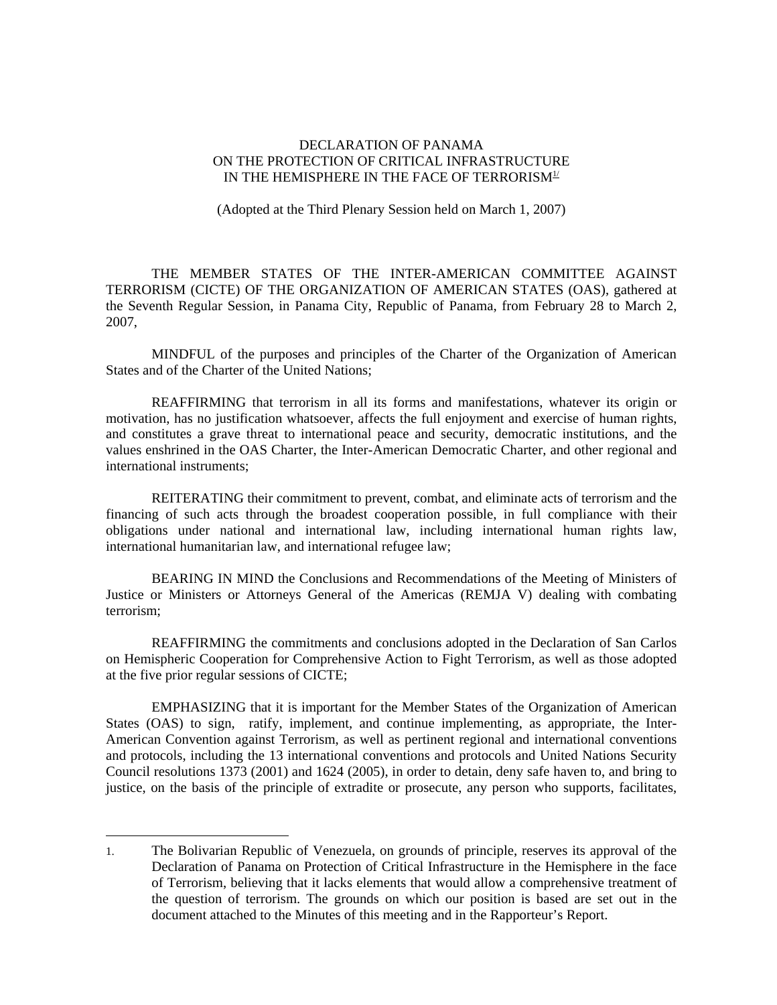## DECLARATION OF PANAMA ON THE PROTECTION OF CRITICAL INFRASTRUCTURE IN THE HEMISPHERE IN THE FACE OF TERRORISM $\mathfrak{U}$

(Adopted at the Third Plenary Session held on March 1, 2007)

THE MEMBER STATES OF THE INTER-AMERICAN COMMITTEE AGAINST TERRORISM (CICTE) OF THE ORGANIZATION OF AMERICAN STATES (OAS), gathered at the Seventh Regular Session, in Panama City, Republic of Panama, from February 28 to March 2, 2007,

MINDFUL of the purposes and principles of the Charter of the Organization of American States and of the Charter of the United Nations;

REAFFIRMING that terrorism in all its forms and manifestations, whatever its origin or motivation, has no justification whatsoever, affects the full enjoyment and exercise of human rights, and constitutes a grave threat to international peace and security, democratic institutions, and the values enshrined in the OAS Charter, the Inter-American Democratic Charter, and other regional and international instruments;

REITERATING their commitment to prevent, combat, and eliminate acts of terrorism and the financing of such acts through the broadest cooperation possible, in full compliance with their obligations under national and international law, including international human rights law, international humanitarian law, and international refugee law;

BEARING IN MIND the Conclusions and Recommendations of the Meeting of Ministers of Justice or Ministers or Attorneys General of the Americas (REMJA V) dealing with combating terrorism;

REAFFIRMING the commitments and conclusions adopted in the Declaration of San Carlos on Hemispheric Cooperation for Comprehensive Action to Fight Terrorism, as well as those adopted at the five prior regular sessions of CICTE;

EMPHASIZING that it is important for the Member States of the Organization of American States (OAS) to sign, ratify, implement, and continue implementing, as appropriate, the Inter-American Convention against Terrorism, as well as pertinent regional and international conventions and protocols, including the 13 international conventions and protocols and United Nations Security Council resolutions 1373 (2001) and 1624 (2005), in order to detain, deny safe haven to, and bring to justice, on the basis of the principle of extradite or prosecute, any person who supports, facilitates,

1

<sup>1.</sup> The Bolivarian Republic of Venezuela, on grounds of principle, reserves its approval of the Declaration of Panama on Protection of Critical Infrastructure in the Hemisphere in the face of Terrorism, believing that it lacks elements that would allow a comprehensive treatment of the question of terrorism. The grounds on which our position is based are set out in the document attached to the Minutes of this meeting and in the Rapporteur's Report.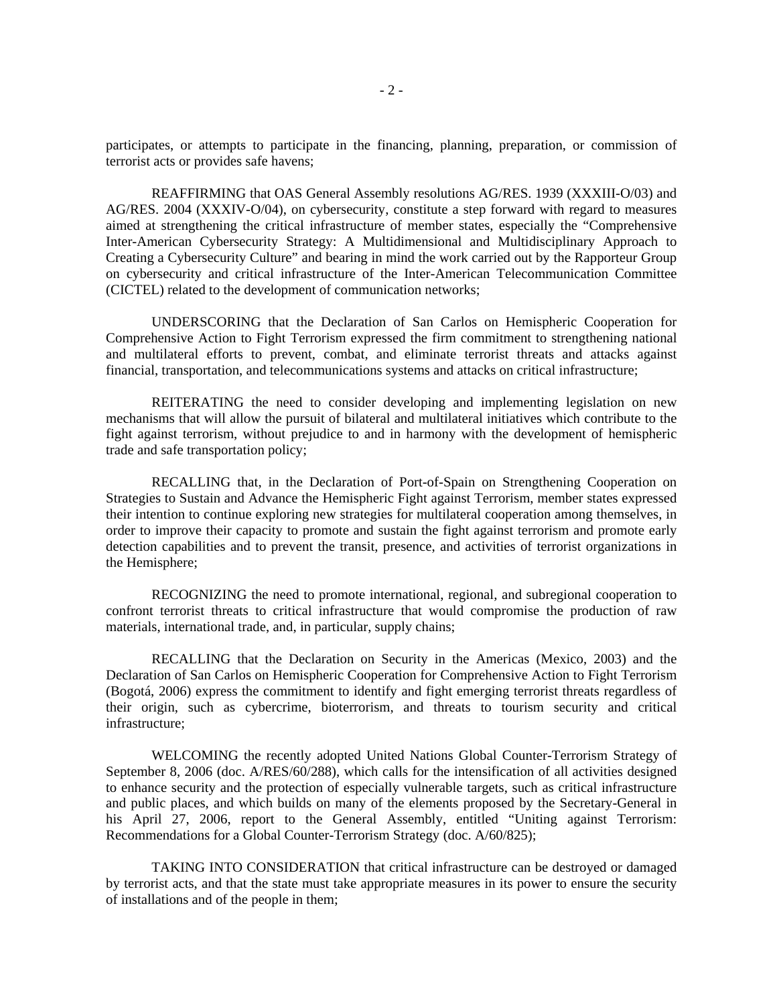participates, or attempts to participate in the financing, planning, preparation, or commission of terrorist acts or provides safe havens;

REAFFIRMING that OAS General Assembly resolutions AG/RES. 1939 (XXXIII-O/03) and AG/RES. 2004 (XXXIV-O/04), on cybersecurity, constitute a step forward with regard to measures aimed at strengthening the critical infrastructure of member states, especially the "Comprehensive Inter-American Cybersecurity Strategy: A Multidimensional and Multidisciplinary Approach to Creating a Cybersecurity Culture" and bearing in mind the work carried out by the Rapporteur Group on cybersecurity and critical infrastructure of the Inter-American Telecommunication Committee (CICTEL) related to the development of communication networks;

UNDERSCORING that the Declaration of San Carlos on Hemispheric Cooperation for Comprehensive Action to Fight Terrorism expressed the firm commitment to strengthening national and multilateral efforts to prevent, combat, and eliminate terrorist threats and attacks against financial, transportation, and telecommunications systems and attacks on critical infrastructure;

REITERATING the need to consider developing and implementing legislation on new mechanisms that will allow the pursuit of bilateral and multilateral initiatives which contribute to the fight against terrorism, without prejudice to and in harmony with the development of hemispheric trade and safe transportation policy;

RECALLING that, in the Declaration of Port-of-Spain on Strengthening Cooperation on Strategies to Sustain and Advance the Hemispheric Fight against Terrorism, member states expressed their intention to continue exploring new strategies for multilateral cooperation among themselves, in order to improve their capacity to promote and sustain the fight against terrorism and promote early detection capabilities and to prevent the transit, presence, and activities of terrorist organizations in the Hemisphere;

RECOGNIZING the need to promote international, regional, and subregional cooperation to confront terrorist threats to critical infrastructure that would compromise the production of raw materials, international trade, and, in particular, supply chains;

RECALLING that the Declaration on Security in the Americas (Mexico, 2003) and the Declaration of San Carlos on Hemispheric Cooperation for Comprehensive Action to Fight Terrorism (Bogotá, 2006) express the commitment to identify and fight emerging terrorist threats regardless of their origin, such as cybercrime, bioterrorism, and threats to tourism security and critical infrastructure;

WELCOMING the recently adopted United Nations Global Counter-Terrorism Strategy of September 8, 2006 (doc. A/RES/60/288), which calls for the intensification of all activities designed to enhance security and the protection of especially vulnerable targets, such as critical infrastructure and public places, and which builds on many of the elements proposed by the Secretary-General in his April 27, 2006, report to the General Assembly, entitled "Uniting against Terrorism: Recommendations for a Global Counter-Terrorism Strategy (doc. A/60/825);

TAKING INTO CONSIDERATION that critical infrastructure can be destroyed or damaged by terrorist acts, and that the state must take appropriate measures in its power to ensure the security of installations and of the people in them;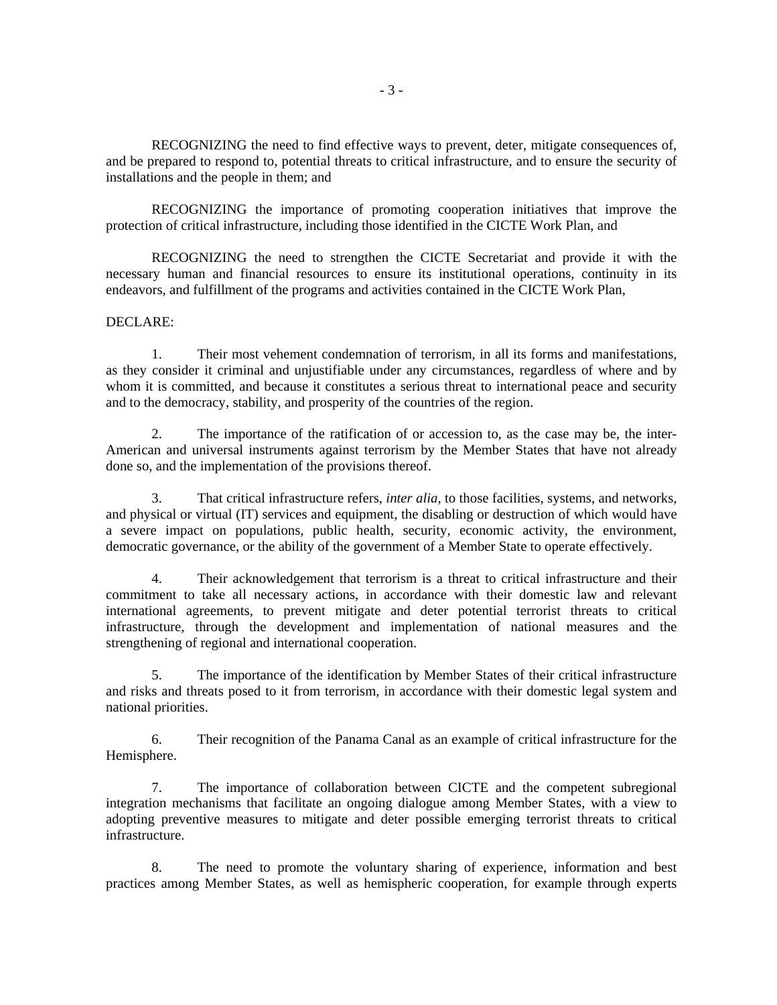RECOGNIZING the need to find effective ways to prevent, deter, mitigate consequences of, and be prepared to respond to, potential threats to critical infrastructure, and to ensure the security of installations and the people in them; and

RECOGNIZING the importance of promoting cooperation initiatives that improve the protection of critical infrastructure, including those identified in the CICTE Work Plan, and

RECOGNIZING the need to strengthen the CICTE Secretariat and provide it with the necessary human and financial resources to ensure its institutional operations, continuity in its endeavors, and fulfillment of the programs and activities contained in the CICTE Work Plan,

## DECLARE:

1. Their most vehement condemnation of terrorism, in all its forms and manifestations, as they consider it criminal and unjustifiable under any circumstances, regardless of where and by whom it is committed, and because it constitutes a serious threat to international peace and security and to the democracy, stability, and prosperity of the countries of the region.

2. The importance of the ratification of or accession to, as the case may be, the inter-American and universal instruments against terrorism by the Member States that have not already done so, and the implementation of the provisions thereof.

3. That critical infrastructure refers, *inter alia*, to those facilities, systems, and networks, and physical or virtual (IT) services and equipment, the disabling or destruction of which would have a severe impact on populations, public health, security, economic activity, the environment, democratic governance, or the ability of the government of a Member State to operate effectively.

4. Their acknowledgement that terrorism is a threat to critical infrastructure and their commitment to take all necessary actions, in accordance with their domestic law and relevant international agreements, to prevent mitigate and deter potential terrorist threats to critical infrastructure, through the development and implementation of national measures and the strengthening of regional and international cooperation.

5. The importance of the identification by Member States of their critical infrastructure and risks and threats posed to it from terrorism, in accordance with their domestic legal system and national priorities.

6. Their recognition of the Panama Canal as an example of critical infrastructure for the Hemisphere.

7. The importance of collaboration between CICTE and the competent subregional integration mechanisms that facilitate an ongoing dialogue among Member States, with a view to adopting preventive measures to mitigate and deter possible emerging terrorist threats to critical infrastructure.

8. The need to promote the voluntary sharing of experience, information and best practices among Member States, as well as hemispheric cooperation, for example through experts